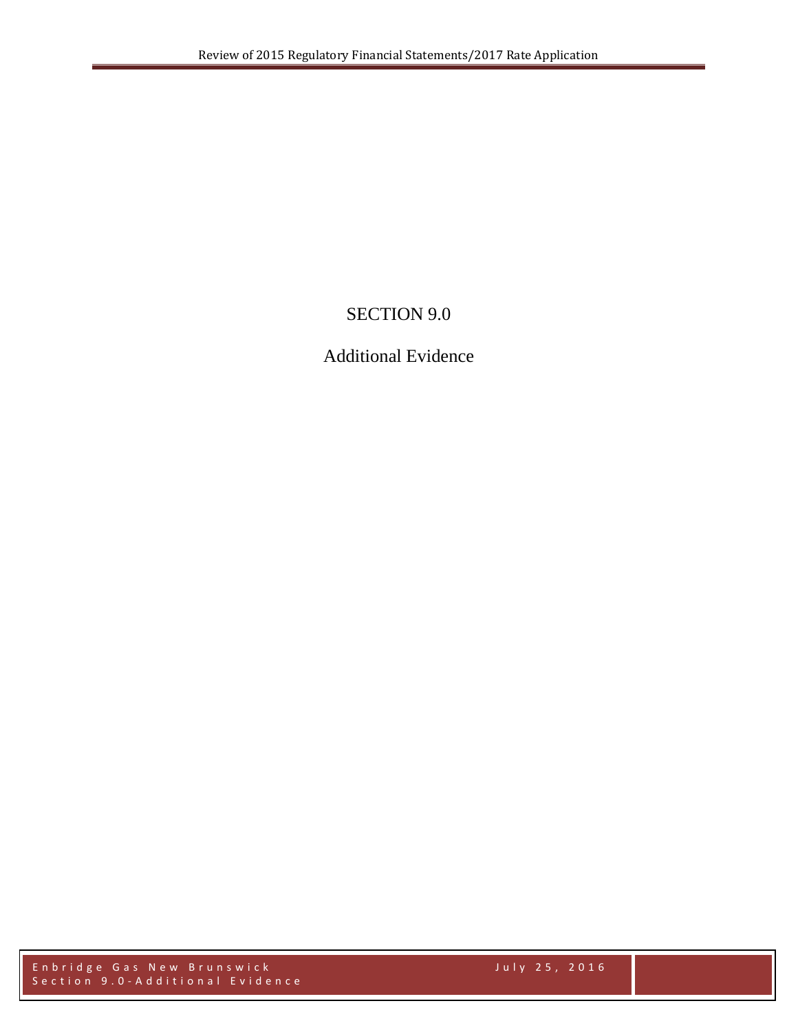## SECTION 9.0

## Additional Evidence

Enbridge Gas New Brunswick July 2 5 , 2016 Section 9 . 0 - Additional Evidence